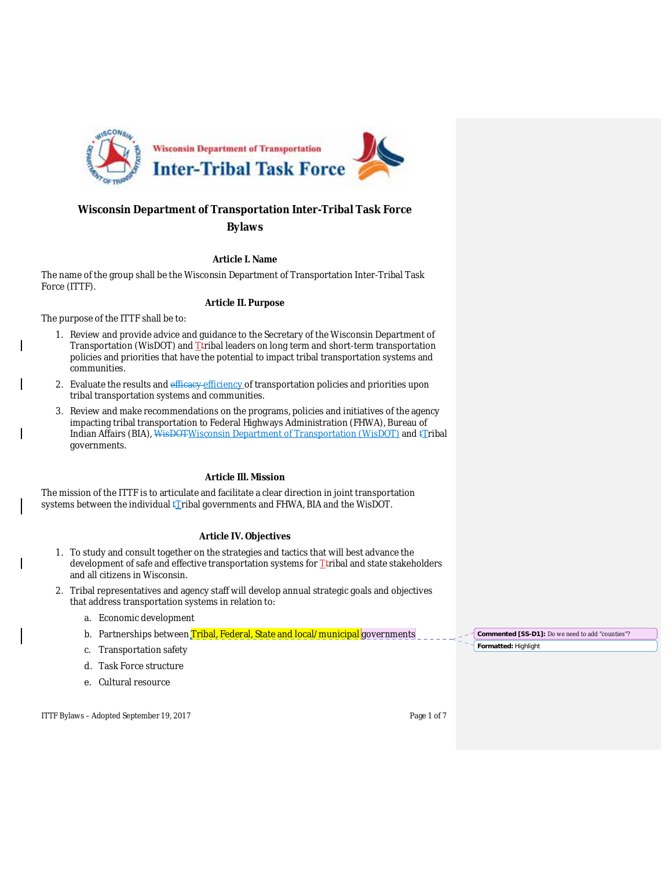

# **Wisconsin Department of Transportation Inter-Tribal Task Force**

# **Bylaws**

## **Article I. Name**

The name of the group shall be the Wisconsin Department of Transportation Inter-Tribal Task Force (ITTF).

## **Article II. Purpose**

The purpose of the ITTF shall be to:

- 1. Review and provide advice and guidance to the Secretary of the Wisconsin Department of Transportation (WisDOT) and  $T$ tribal leaders on long term and short-term transportation policies and priorities that have the potential to impact tribal transportation systems and communities.
- 2. Evaluate the results and efficacy efficiency of transportation policies and priorities upon tribal transportation systems and communities.
- 3. Review and make recommendations on the programs, policies and initiatives of the agency impacting tribal transportation to Federal Highways Administration (FHWA), Bureau of Indian Affairs (BIA), WisDOTWisconsin Department of Transportation (WisDOT) and tTribal governments.

# **Article Ill. Mission**

The mission of the ITTF is to articulate and facilitate a clear direction in joint transportation systems between the individual  $\frac{1}{kT}$ ribal governments and FHWA, BIA and the WisDOT.

# **Article IV. Objectives**

- 1. To study and consult together on the strategies and tactics that will best advance the development of safe and effective transportation systems for Ttribal and state stakeholders and all citizens in Wisconsin.
- 2. Tribal representatives and agency staff will develop annual strategic goals and objectives that address transportation systems in relation to:
	- a. Economic development
	- b. Partnerships between Tribal, Federal, State and local/municipal governments
	- c. Transportation safety
	- d. Task Force structure
	- e. Cultural resource

ITTF Bylaws – Adopted September 19, 2017 Page 1 of 7

**Formatted:** Highlight **Commented [SS-D1]:** Do we need to add "counties"?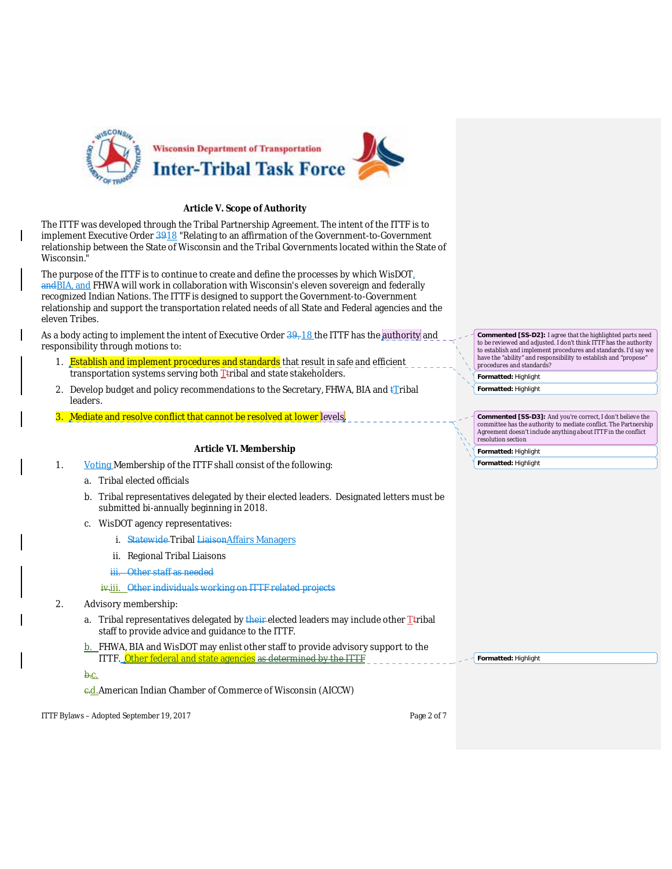

#### **Article V. Scope of Authority**

The ITTF was developed through the Tribal Partnership Agreement. The intent of the ITTF is to implement Executive Order 3918 "Relating to an affirmation of the Government-to-Government relationship between the State of Wisconsin and the Tribal Governments located within the State of Wisconsin."

The purpose of the ITTF is to continue to create and define the processes by which WisDOT, andBIA, and FHWA will work in collaboration with Wisconsin's eleven sovereign and federally recognized Indian Nations. The ITTF is designed to support the Government-to-Government relationship and support the transportation related needs of all State and Federal agencies and the eleven Tribes.

As a body acting to implement the intent of Executive Order  $\frac{39}{18}$  the ITTF has the authority and responsibility through motions to:

- 1. **Establish and implement procedures and standards** that result in safe and efficient transportation systems serving both  $I$ tribal and state stakeholders.
- 2. Develop budget and policy recommendations to the Secretary, FHWA, BIA and  $\mathbf{f}_i$ ribal leaders.
- 3. Mediate and resolve conflict that cannot be resolved at lower levels.

# **Article VI. Membership**

1. Voting Membership of the ITTF shall consist of the following:

- a. Tribal elected officials
- b. Tribal representatives delegated by their elected leaders. Designated letters must be submitted bi-annually beginning in 2018.
- c. WisDOT agency representatives:
	- i. Statewide Tribal LiaisonAffairs Managers
	- ii. Regional Tribal Liaisons
	- iii. Other staff as needed

## iv.iii. Other individuals working on ITTF related projects

- 2. Advisory membership:
	- a. Tribal representatives delegated by their elected leaders may include other Ttribal staff to provide advice and guidance to the ITTF.
	- b. FHWA, BIA and WisDOT may enlist other staff to provide advisory support to the ITTF. Other federal and state agencies as determined by the ITTF

b.c.

c.d.American Indian Chamber of Commerce of Wisconsin (AICCW)

ITTF Bylaws – Adopted September 19, 2017 Page 2 of 7

**Formatted:** Highlight **Commented [SS-D2]:** I agree that the highlighted parts need to be reviewed and adjusted. I don't think ITTF has the authority to establish and implement procedures and standards. I'd say we have the "ability" and responsibility to establish and "propose procedures and standards?

**Formatted:** Highlight

**Commented [SS-D3]:** And you're correct, I don't believe the committee has the authority to mediate conflict. The Partnership Agreement doesn't include anything about ITTF in the conflict resolution section

**Formatted:** Highlight **Formatted:** Highlight

**Formatted:** Highlight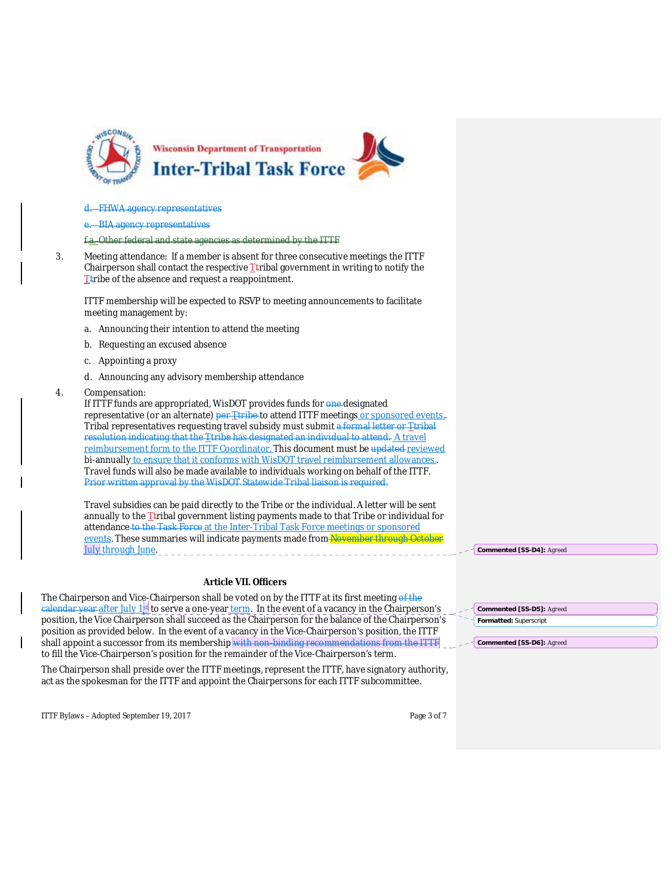

#### **FHWA agency representatives**

**BIA agency representatives** 

f.a. Other federal and state agencies as determined by the ITTF

3. Meeting attendance: If a member is absent for three consecutive meetings the ITTF Chairperson shall contact the respective  $T$ tribal government in writing to notify the The of the absence and request a reappointment.

ITTF membership will be expected to RSVP to meeting announcements to facilitate meeting management by:

- a. Announcing their intention to attend the meeting
- b. Requesting an excused absence
- c. Appointing a proxy
- d. Announcing any advisory membership attendance
- 4. Compensation:

If ITTF funds are appropriated, WisDOT provides funds for one designated representative (or an alternate) per Ttribe to attend ITTF meetings or sponsored events. Tribal representatives requesting travel subsidy must submit a formal letter or Ttribal resolution indicating that the *T*tribe has designated an individual to attend. A travel reimbursement form to the ITTF Coordinator. This document must be updated reviewed bi-annually to ensure that it conforms with WisDOT travel reimbursement allowances. Travel funds will also be made available to individuals working on behalf of the ITTF. Prior written approval by the WisDOT Statewide Tribal liaison is required.

Travel subsidies can be paid directly to the Tribe or the individual. A letter will be sent annually to the  $I$ tribal government listing payments made to that Tribe or individual for attendance to the Task Force at the Inter-Tribal Task Force meetings or sponsored events. These summaries will indicate payments made from November through October July through June.

#### **Article VII. Officers**

The Chairperson and Vice-Chairperson shall be voted on by the ITTF at its first meeting of the The chairperson and vice-chairperson shall be very discussed by the contract of a vacancy in the Chairperson's position, the Vice Chairperson shall succeed as the Chairperson for the balance of the Chairperson's position as provided below. In the event of a vacancy in the Vice-Chairperson's position, the ITTF shall appoint a successor from its membership with non-binding recommendations from the ITTF to fill the Vice-Chairperson's position for the remainder of the Vice-Chairperson's term.

The Chairperson shall preside over the ITTF meetings, represent the ITTF, have signatory authority, act as the spokesman for the ITTF and appoint the Chairpersons for each ITTF subcommittee.

ITTF Bylaws – Adopted September 19, 2017 Page 3 of 7

**Commented [SS-D4]:** Agreed

**Commented [SS-D6]:** Agreed

| <b>commented [SS-D5]:</b> Agreed |  |
|----------------------------------|--|
| Formatted: Superscript           |  |
|                                  |  |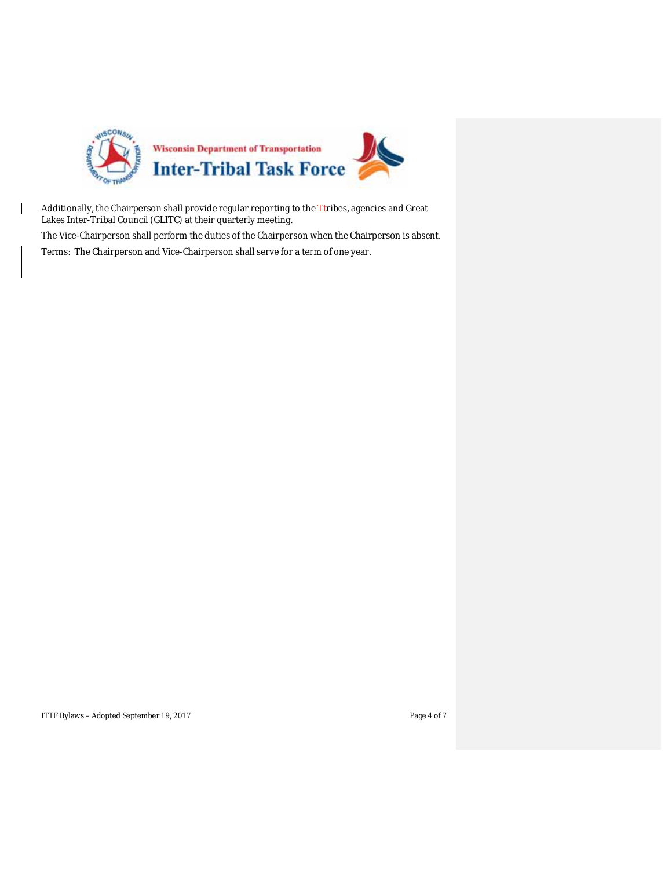

Additionally, the Chairperson shall provide regular reporting to the  $I$  tribes, agencies and Great Lakes Inter-Tribal Council (GLITC) at their quarterly meeting.

The Vice-Chairperson shall perform the duties of the Chairperson when the Chairperson is absent. Terms: The Chairperson and Vice-Chairperson shall serve for a term of one year.

ITTF Bylaws – Adopted September 19, 2017 Page 4 of 7

 $\mathsf{l}$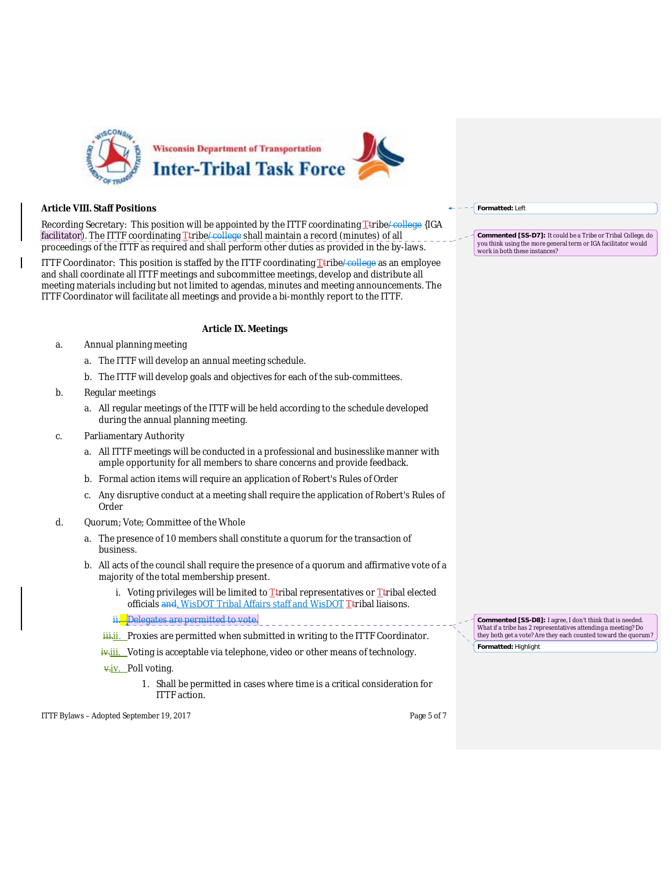

### **Article VIII. Staff Positions**

Recording Secretary: This position will be appointed by the ITTF coordinating  $\Gamma$ tribe/college {IGA facilitator). The ITTF coordinating *T*tribe/college shall maintain a record (minutes) of all proceedings of the ITTF as required and shall perform other duties as provided in the by-laws.

ITTF Coordinator: This position is staffed by the ITTF coordinating  $I$ tribe/college as an employee and shall coordinate all ITTF meetings and subcommittee meetings, develop and distribute all meeting materials including but not limited to agendas, minutes and meeting announcements. The ITTF Coordinator will facilitate all meetings and provide a bi-monthly report to the ITTF.

#### **Article IX. Meetings**

- a. Annual planning meeting
	- a. The ITTF will develop an annual meeting schedule.
	- b. The ITTF will develop goals and objectives for each of the sub-committees.
- b. Regular meetings
	- a. All regular meetings of the ITTF will be held according to the schedule developed during the annual planning meeting.
- c. Parliamentary Authority
	- a. All ITTF meetings will be conducted in a professional and businesslike manner with ample opportunity for all members to share concerns and provide feedback.
	- b. Formal action items will require an application of Robert's Rules of Order
	- c. Any disruptive conduct at a meeting shall require the application of Robert's Rules of Order
- d. Quorum; Vote; Committee of the Whole
	- a. The presence of 10 members shall constitute a quorum for the transaction of business.
	- b. All acts of the council shall require the presence of a quorum and affirmative vote of a majority of the total membership present.
		- i. Voting privileges will be limited to  $T$ tribal representatives or  $T$ tribal elected officials and, WisDOT Tribal Affairs staff and WisDOT Ttribal liaisons.
		- ii. Delegates are permitted to vote.
		- ii. Proxies are permitted when submitted in writing to the ITTF Coordinator.
		- iv.iii. Voting is acceptable via telephone, video or other means of technology.
		- v.iv. Poll voting.
			- 1. Shall be permitted in cases where time is a critical consideration for ITTF action.

ITTF Bylaws – Adopted September 19, 2017 Page 5 of 7

**Formatted:** Left

**Commented [SS-D7]:** It could be a Tribe or Tribal College, do you think using the more general term or IGA facilitator would work in both these instances?

**Formatted:** Highlight **Commented [SS-D8]:** I agree, I don't think that is needed. What if a tribe has 2 representatives attending a meeting? Do they both get a vote? Are they each counted toward the quorum?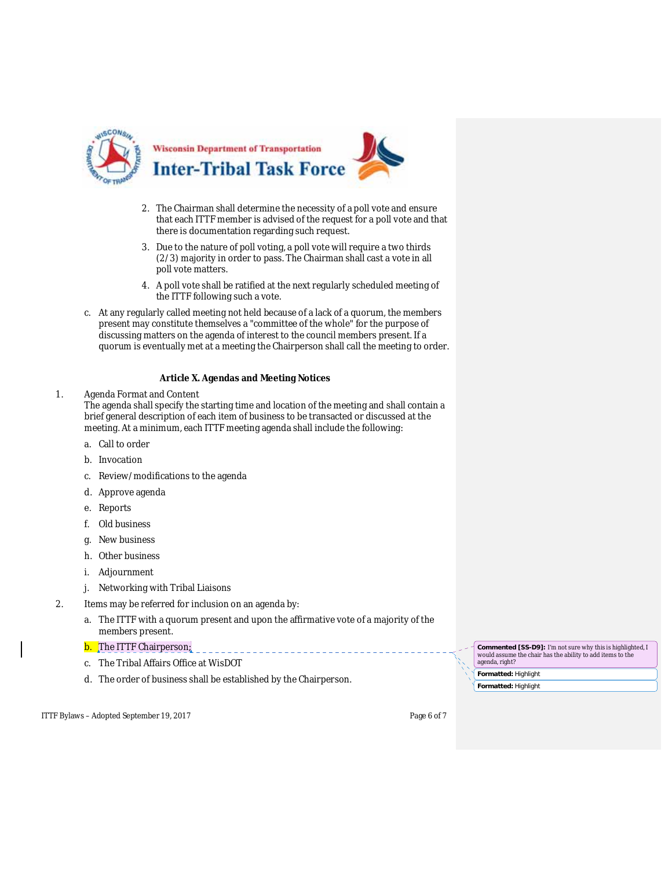

- 2. The Chairman shall determine the necessity of a poll vote and ensure that each ITTF member is advised of the request for a poll vote and that there is documentation regarding such request.
- 3. Due to the nature of poll voting, a poll vote will require a two thirds (2/3) majority in order to pass. The Chairman shall cast a vote in all poll vote matters.
- 4. A poll vote shall be ratified at the next regularly scheduled meeting of the ITTF following such a vote.
- c. At any regularly called meeting not held because of a lack of a quorum, the members present may constitute themselves a "committee of the whole" for the purpose of discussing matters on the agenda of interest to the council members present. If a quorum is eventually met at a meeting the Chairperson shall call the meeting to order.

## **Article X. Agendas and Meeting Notices**

#### 1. Agenda Format and Content

The agenda shall specify the starting time and location of the meeting and shall contain a brief general description of each item of business to be transacted or discussed at the meeting. At a minimum, each ITTF meeting agenda shall include the following:

- a. Call to order
- b. Invocation
- c. Review/modifications to the agenda
- d. Approve agenda
- e. Reports
- f. Old business
- g. New business
- h. Other business
- i. Adjournment
- j. Networking with Tribal Liaisons
- 2. Items may be referred for inclusion on an agenda by:
	- a. The ITTF with a quorum present and upon the affirmative vote of a majority of the members present.

# **b.** The ITTF Chairperson;

- c. The Tribal Affairs Office at WisDOT
- d. The order of business shall be established by the Chairperson. **Formatted:** Highlight

ITTF Bylaws – Adopted September 19, 2017 Page 6 of 7

**Commented [SS-D9]:** I'm not sure why this is highlighted, I would assume the chair has the ability to add items to the agenda, right?

**Formatted:** Highlight